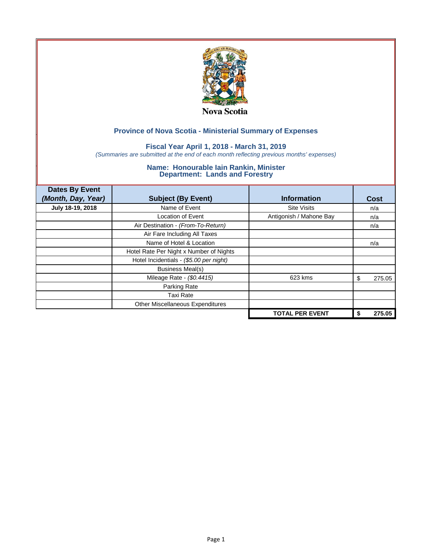

## **Fiscal Year April 1, 2018 - March 31, 2019**

*(Summaries are submitted at the end of each month reflecting previous months' expenses)*

| <b>Dates By Event</b><br>(Month, Day, Year) | <b>Subject (By Event)</b>               | <b>Information</b>      | Cost         |
|---------------------------------------------|-----------------------------------------|-------------------------|--------------|
| July 18-19, 2018                            | Name of Event                           | <b>Site Visits</b>      | n/a          |
|                                             | Location of Event                       | Antigonish / Mahone Bay | n/a          |
|                                             | Air Destination - (From-To-Return)      |                         | n/a          |
|                                             | Air Fare Including All Taxes            |                         |              |
|                                             | Name of Hotel & Location                |                         | n/a          |
|                                             | Hotel Rate Per Night x Number of Nights |                         |              |
|                                             | Hotel Incidentials - (\$5.00 per night) |                         |              |
|                                             | <b>Business Meal(s)</b>                 |                         |              |
|                                             | Mileage Rate - (\$0.4415)               | 623 kms                 | 275.05<br>S  |
|                                             | Parking Rate                            |                         |              |
|                                             | Taxi Rate                               |                         |              |
|                                             | Other Miscellaneous Expenditures        |                         |              |
|                                             |                                         | <b>TOTAL PER EVENT</b>  | 275.05<br>\$ |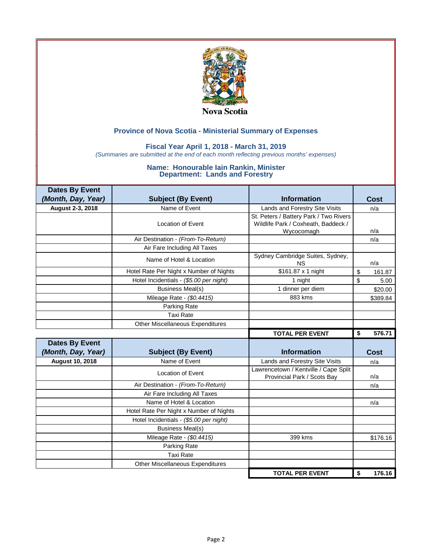

### **Fiscal Year April 1, 2018 - March 31, 2019**

*(Summaries are submitted at the end of each month reflecting previous months' expenses)*

| <b>Dates By Event</b>  |                                         |                                                                                             |              |
|------------------------|-----------------------------------------|---------------------------------------------------------------------------------------------|--------------|
| (Month, Day, Year)     | <b>Subject (By Event)</b>               | <b>Information</b>                                                                          | <b>Cost</b>  |
| August 2-3, 2018       | Name of Event                           | Lands and Forestry Site Visits                                                              | n/a          |
|                        | <b>Location of Event</b>                | St. Peters / Battery Park / Two Rivers<br>Wildlife Park / Coxheath, Baddeck /<br>Wycocomagh | n/a          |
|                        | Air Destination - (From-To-Return)      |                                                                                             | n/a          |
|                        | Air Fare Including All Taxes            |                                                                                             |              |
|                        | Name of Hotel & Location                | Sydney Cambridge Suites, Sydney,<br><b>NS</b>                                               | n/a          |
|                        | Hotel Rate Per Night x Number of Nights | \$161.87 x 1 night                                                                          | \$<br>161.87 |
|                        | Hotel Incidentials - (\$5.00 per night) | 1 night                                                                                     | \$<br>5.00   |
|                        | <b>Business Meal(s)</b>                 | 1 dinner per diem                                                                           | \$20.00      |
|                        | Mileage Rate - (\$0.4415)               | 883 kms                                                                                     | \$389.84     |
|                        | Parking Rate                            |                                                                                             |              |
|                        | <b>Taxi Rate</b>                        |                                                                                             |              |
|                        | <b>Other Miscellaneous Expenditures</b> |                                                                                             |              |
|                        |                                         |                                                                                             |              |
|                        |                                         | <b>TOTAL PER EVENT</b>                                                                      | \$<br>576.71 |
| <b>Dates By Event</b>  |                                         |                                                                                             |              |
| (Month, Day, Year)     | <b>Subject (By Event)</b>               | <b>Information</b>                                                                          | Cost         |
| <b>August 10, 2018</b> | Name of Event                           | Lands and Forestry Site Visits                                                              | n/a          |
|                        | <b>Location of Event</b>                | Lawrencetown / Kentville / Cape Split<br>Provincial Park / Scots Bav                        | n/a          |
|                        | Air Destination - (From-To-Return)      |                                                                                             | n/a          |
|                        | Air Fare Including All Taxes            |                                                                                             |              |
|                        | Name of Hotel & Location                |                                                                                             | n/a          |
|                        | Hotel Rate Per Night x Number of Nights |                                                                                             |              |
|                        | Hotel Incidentials - (\$5.00 per night) |                                                                                             |              |
|                        | <b>Business Meal(s)</b>                 |                                                                                             |              |
|                        | Mileage Rate - (\$0.4415)               | 399 kms                                                                                     | \$176.16     |
|                        | Parking Rate                            |                                                                                             |              |
|                        | <b>Taxi Rate</b>                        |                                                                                             |              |
|                        | Other Miscellaneous Expenditures        |                                                                                             |              |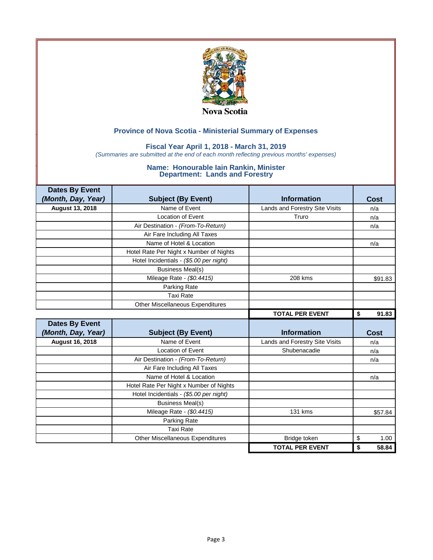

## **Fiscal Year April 1, 2018 - March 31, 2019**

*(Summaries are submitted at the end of each month reflecting previous months' expenses)*

| <b>Dates By Event</b>  |                                         |                                |             |
|------------------------|-----------------------------------------|--------------------------------|-------------|
| (Month, Day, Year)     | <b>Subject (By Event)</b>               | <b>Information</b>             | Cost        |
| <b>August 13, 2018</b> | Name of Event                           | Lands and Forestry Site Visits | n/a         |
|                        | Location of Event                       | Truro                          | n/a         |
|                        | Air Destination - (From-To-Return)      |                                | n/a         |
|                        | Air Fare Including All Taxes            |                                |             |
|                        | Name of Hotel & Location                |                                | n/a         |
|                        | Hotel Rate Per Night x Number of Nights |                                |             |
|                        | Hotel Incidentials - (\$5.00 per night) |                                |             |
|                        | <b>Business Meal(s)</b>                 |                                |             |
|                        | Mileage Rate - (\$0.4415)               | 208 kms                        | \$91.83     |
|                        | Parking Rate                            |                                |             |
|                        | <b>Taxi Rate</b>                        |                                |             |
|                        | <b>Other Miscellaneous Expenditures</b> |                                |             |
|                        |                                         | <b>TOTAL PER EVENT</b>         | 91.83<br>\$ |
|                        |                                         |                                |             |
| <b>Dates By Event</b>  |                                         |                                |             |
| (Month, Day, Year)     | <b>Subject (By Event)</b>               | <b>Information</b>             | <b>Cost</b> |
| <b>August 16, 2018</b> | Name of Event                           | Lands and Forestry Site Visits | n/a         |
|                        | Location of Event                       | Shubenacadie                   | n/a         |
|                        | Air Destination - (From-To-Return)      |                                | n/a         |
|                        | Air Fare Including All Taxes            |                                |             |
|                        | Name of Hotel & Location                |                                | n/a         |
|                        | Hotel Rate Per Night x Number of Nights |                                |             |
|                        | Hotel Incidentials - (\$5.00 per night) |                                |             |
|                        | <b>Business Meal(s)</b>                 |                                |             |
|                        | Mileage Rate - (\$0.4415)               | 131 kms                        | \$57.84     |
|                        | Parking Rate                            |                                |             |
|                        | <b>Taxi Rate</b>                        |                                |             |
|                        | <b>Other Miscellaneous Expenditures</b> | Bridge token                   | \$<br>1.00  |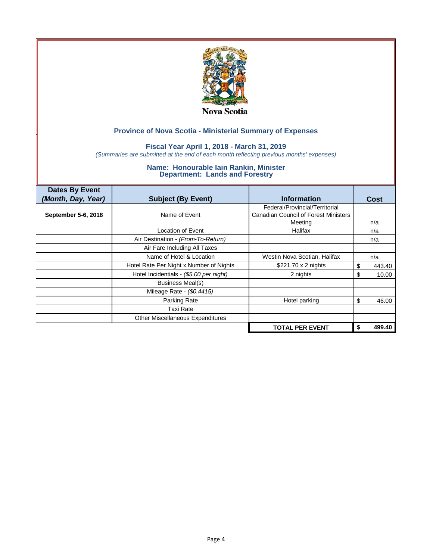

## **Fiscal Year April 1, 2018 - March 31, 2019**

*(Summaries are submitted at the end of each month reflecting previous months' expenses)*

| <b>Dates By Event</b><br>(Month, Day, Year) | <b>Subject (By Event)</b>               | <b>Information</b>                          | Cost        |
|---------------------------------------------|-----------------------------------------|---------------------------------------------|-------------|
|                                             |                                         | Federal/Provincial/Territorial              |             |
| September 5-6, 2018                         | Name of Event                           | <b>Canadian Council of Forest Ministers</b> |             |
|                                             |                                         | Meetina                                     | n/a         |
|                                             | Location of Event                       | Halifax                                     | n/a         |
|                                             | Air Destination - (From-To-Return)      |                                             | n/a         |
|                                             | Air Fare Including All Taxes            |                                             |             |
|                                             | Name of Hotel & Location                | Westin Nova Scotian, Halifax                | n/a         |
|                                             | Hotel Rate Per Night x Number of Nights | $$221.70 \times 2$ nights                   | 443.40<br>S |
|                                             | Hotel Incidentials - (\$5.00 per night) | 2 nights                                    | 10.00<br>S  |
|                                             | Business Meal(s)                        |                                             |             |
|                                             | Mileage Rate - (\$0.4415)               |                                             |             |
|                                             | Parking Rate                            | Hotel parking                               | 46.00<br>\$ |
|                                             | Taxi Rate                               |                                             |             |
|                                             | <b>Other Miscellaneous Expenditures</b> |                                             |             |
|                                             |                                         | <b>TOTAL PER EVENT</b>                      | 499.40      |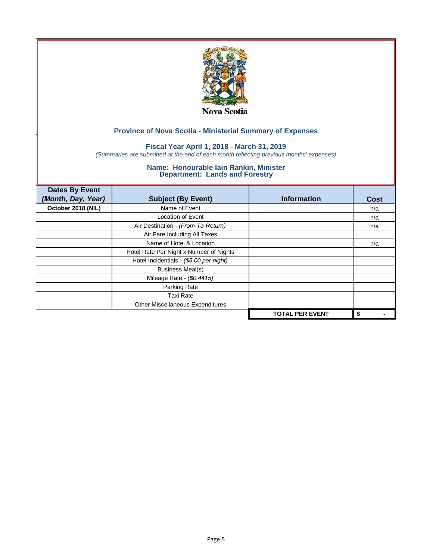

## **Fiscal Year April 1, 2018 - March 31, 2019**

*(Summaries are submitted at the end of each month reflecting previous months' expenses)*

| <b>Dates By Event</b> |                                         |                        |      |
|-----------------------|-----------------------------------------|------------------------|------|
| (Month, Day, Year)    | <b>Subject (By Event)</b>               | <b>Information</b>     | Cost |
| October 2018 (NIL)    | Name of Event                           |                        | n/a  |
|                       | <b>Location of Event</b>                |                        | n/a  |
|                       | Air Destination - (From-To-Return)      |                        | n/a  |
|                       | Air Fare Including All Taxes            |                        |      |
|                       | Name of Hotel & Location                |                        | n/a  |
|                       | Hotel Rate Per Night x Number of Nights |                        |      |
|                       | Hotel Incidentials - (\$5.00 per night) |                        |      |
|                       | <b>Business Meal(s)</b>                 |                        |      |
|                       | Mileage Rate - (\$0.4415)               |                        |      |
|                       | Parking Rate                            |                        |      |
|                       | <b>Taxi Rate</b>                        |                        |      |
|                       | Other Miscellaneous Expenditures        |                        |      |
|                       |                                         | <b>TOTAL PER EVENT</b> | \$   |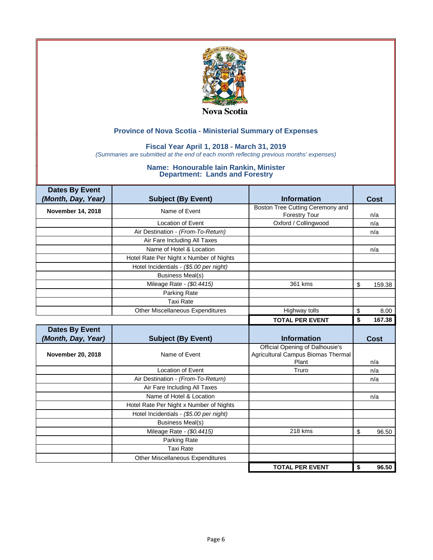

## **Fiscal Year April 1, 2018 - March 31, 2019**

*(Summaries are submitted at the end of each month reflecting previous months' expenses)*

| <b>Dates By Event</b> |                                         |                                                                                |              |
|-----------------------|-----------------------------------------|--------------------------------------------------------------------------------|--------------|
| (Month, Day, Year)    | <b>Subject (By Event)</b>               | <b>Information</b>                                                             | Cost         |
| November 14, 2018     | Name of Event                           | Boston Tree Cutting Ceremony and                                               |              |
|                       |                                         | <b>Forestry Tour</b>                                                           | n/a          |
|                       | <b>Location of Event</b>                | Oxford / Collingwood                                                           | n/a          |
|                       | Air Destination - (From-To-Return)      |                                                                                | n/a          |
|                       | Air Fare Including All Taxes            |                                                                                |              |
|                       | Name of Hotel & Location                |                                                                                | n/a          |
|                       | Hotel Rate Per Night x Number of Nights |                                                                                |              |
|                       | Hotel Incidentials - (\$5.00 per night) |                                                                                |              |
|                       | <b>Business Meal(s)</b>                 |                                                                                |              |
|                       | Mileage Rate - (\$0.4415)               | 361 kms                                                                        | \$<br>159.38 |
|                       | Parking Rate                            |                                                                                |              |
|                       | <b>Taxi Rate</b>                        |                                                                                |              |
|                       | <b>Other Miscellaneous Expenditures</b> | Highway tolls                                                                  | \$<br>8.00   |
|                       |                                         | <b>TOTAL PER EVENT</b>                                                         | \$<br>167.38 |
|                       |                                         |                                                                                |              |
| <b>Dates By Event</b> |                                         |                                                                                |              |
| (Month, Day, Year)    | <b>Subject (By Event)</b>               | <b>Information</b>                                                             | <b>Cost</b>  |
| November 20, 2018     | Name of Event                           | Official Opening of Dalhousie's<br>Agricultural Campus Biomas Thermal<br>Plant | n/a          |
|                       | <b>Location of Event</b>                | Truro                                                                          | n/a          |
|                       | Air Destination - (From-To-Return)      |                                                                                | n/a          |
|                       | Air Fare Including All Taxes            |                                                                                |              |
|                       | Name of Hotel & Location                |                                                                                | n/a          |
|                       | Hotel Rate Per Night x Number of Nights |                                                                                |              |
|                       | Hotel Incidentials - (\$5.00 per night) |                                                                                |              |
|                       | <b>Business Meal(s)</b>                 |                                                                                |              |
|                       | Mileage Rate - (\$0.4415)               | 218 kms                                                                        | \$<br>96.50  |
|                       | Parking Rate                            |                                                                                |              |
|                       | <b>Taxi Rate</b>                        |                                                                                |              |
|                       | Other Miscellaneous Expenditures        |                                                                                |              |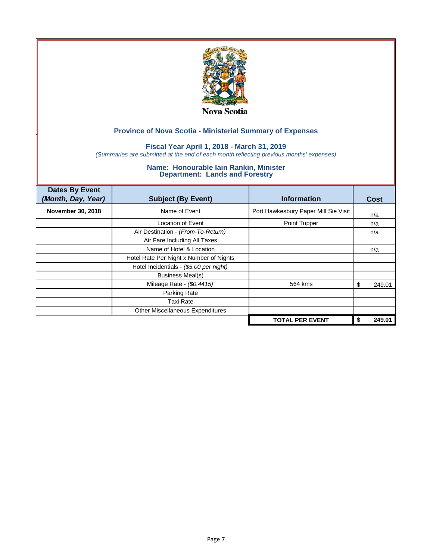

## **Fiscal Year April 1, 2018 - March 31, 2019**

*(Summaries are submitted at the end of each month reflecting previous months' expenses)*

| <b>Dates By Event</b><br>(Month, Day, Year) | <b>Subject (By Event)</b>               | <b>Information</b>                   | <b>Cost</b>  |
|---------------------------------------------|-----------------------------------------|--------------------------------------|--------------|
| <b>November 30, 2018</b>                    | Name of Event                           | Port Hawkesbury Paper Mill Sie Visit | n/a          |
|                                             | Location of Event                       | Point Tupper                         | n/a          |
|                                             | Air Destination - (From-To-Return)      |                                      | n/a          |
|                                             | Air Fare Including All Taxes            |                                      |              |
|                                             | Name of Hotel & Location                |                                      | n/a          |
|                                             | Hotel Rate Per Night x Number of Nights |                                      |              |
|                                             | Hotel Incidentials - (\$5.00 per night) |                                      |              |
|                                             | <b>Business Meal(s)</b>                 |                                      |              |
|                                             | Mileage Rate - (\$0.4415)               | 564 kms                              | 249.01<br>S  |
|                                             | Parking Rate                            |                                      |              |
|                                             | <b>Taxi Rate</b>                        |                                      |              |
|                                             | Other Miscellaneous Expenditures        |                                      |              |
|                                             |                                         | <b>TOTAL PER EVENT</b>               | 249.01<br>\$ |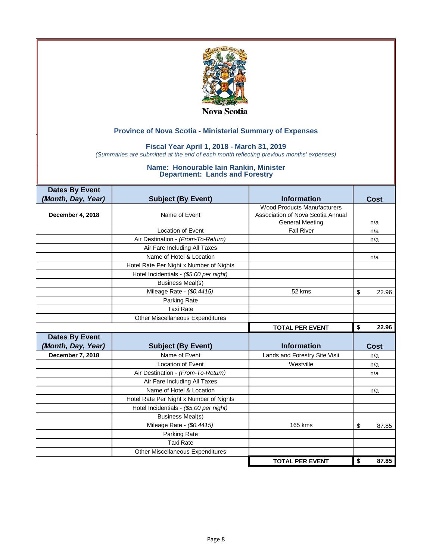

### **Fiscal Year April 1, 2018 - March 31, 2019**

*(Summaries are submitted at the end of each month reflecting previous months' expenses)*

| <b>Dates By Event</b> |                                         |                                    |             |
|-----------------------|-----------------------------------------|------------------------------------|-------------|
| (Month, Day, Year)    | <b>Subject (By Event)</b>               | <b>Information</b>                 | Cost        |
|                       |                                         | <b>Wood Products Manufacturers</b> |             |
| December 4, 2018      | Name of Event                           | Association of Nova Scotia Annual  |             |
|                       |                                         | <b>General Meeting</b>             | n/a         |
|                       | <b>Location of Event</b>                | <b>Fall River</b>                  | n/a         |
|                       | Air Destination - (From-To-Return)      |                                    | n/a         |
|                       | Air Fare Including All Taxes            |                                    |             |
|                       | Name of Hotel & Location                |                                    | n/a         |
|                       | Hotel Rate Per Night x Number of Nights |                                    |             |
|                       | Hotel Incidentials - (\$5.00 per night) |                                    |             |
|                       | <b>Business Meal(s)</b>                 |                                    |             |
|                       | Mileage Rate - (\$0.4415)               | 52 kms                             | \$<br>22.96 |
|                       | Parking Rate                            |                                    |             |
|                       | <b>Taxi Rate</b>                        |                                    |             |
|                       | Other Miscellaneous Expenditures        |                                    |             |
|                       |                                         | <b>TOTAL PER EVENT</b>             | \$<br>22.96 |
| <b>Dates By Event</b> |                                         |                                    |             |
| (Month, Day, Year)    | <b>Subject (By Event)</b>               | <b>Information</b>                 | Cost        |
| December 7, 2018      | Name of Event                           | Lands and Forestry Site Visit      | n/a         |
|                       | <b>Location of Event</b>                | Westville                          | n/a         |
|                       | Air Destination - (From-To-Return)      |                                    | n/a         |
|                       | Air Fare Including All Taxes            |                                    |             |
|                       | Name of Hotel & Location                |                                    | n/a         |
|                       | Hotel Rate Per Night x Number of Nights |                                    |             |
|                       | Hotel Incidentials - (\$5.00 per night) |                                    |             |
|                       | <b>Business Meal(s)</b>                 |                                    |             |
|                       | Mileage Rate - (\$0.4415)               | 165 kms                            | \$<br>87.85 |
|                       | Parking Rate                            |                                    |             |
|                       |                                         |                                    |             |
|                       | <b>Taxi Rate</b>                        |                                    |             |
|                       | Other Miscellaneous Expenditures        |                                    |             |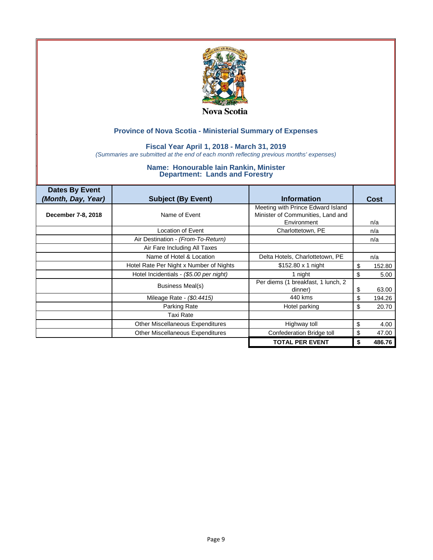

### **Fiscal Year April 1, 2018 - March 31, 2019**

*(Summaries are submitted at the end of each month reflecting previous months' expenses)*

| <b>Dates By Event</b> |                                         |                                    |              |
|-----------------------|-----------------------------------------|------------------------------------|--------------|
| (Month, Day, Year)    | <b>Subject (By Event)</b>               | <b>Information</b>                 | <b>Cost</b>  |
|                       |                                         | Meeting with Prince Edward Island  |              |
| December 7-8, 2018    | Name of Event                           | Minister of Communities, Land and  |              |
|                       |                                         | Environment                        | n/a          |
|                       | Location of Event                       | Charlottetown, PE                  | n/a          |
|                       | Air Destination - (From-To-Return)      |                                    | n/a          |
|                       | Air Fare Including All Taxes            |                                    |              |
|                       | Name of Hotel & Location                | Delta Hotels, Charlottetown, PE    | n/a          |
|                       | Hotel Rate Per Night x Number of Nights | $$152.80 \times 1$ night           | \$<br>152.80 |
|                       | Hotel Incidentials - (\$5.00 per night) | 1 night                            | \$<br>5.00   |
|                       | Business Meal(s)                        | Per diems (1 breakfast, 1 lunch, 2 |              |
|                       |                                         | dinner)                            | \$<br>63.00  |
|                       | Mileage Rate - (\$0.4415)               | 440 kms                            | \$<br>194.26 |
|                       | Parking Rate                            | Hotel parking                      | \$<br>20.70  |
|                       | <b>Taxi Rate</b>                        |                                    |              |
|                       | Other Miscellaneous Expenditures        | Highway toll                       | \$<br>4.00   |
|                       | <b>Other Miscellaneous Expenditures</b> | Confederation Bridge toll          | \$<br>47.00  |
|                       |                                         | <b>TOTAL PER EVENT</b>             | 486.76<br>S  |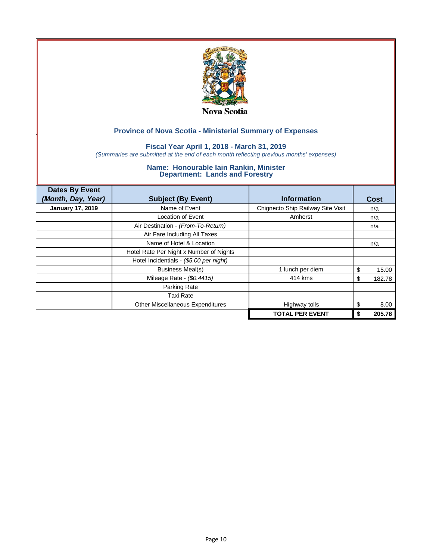

## **Fiscal Year April 1, 2018 - March 31, 2019**

*(Summaries are submitted at the end of each month reflecting previous months' expenses)*

| <b>Dates By Event</b>   |                                         |                                   |              |
|-------------------------|-----------------------------------------|-----------------------------------|--------------|
| (Month, Day, Year)      | <b>Subject (By Event)</b>               | <b>Information</b>                | Cost         |
| <b>January 17, 2019</b> | Name of Event                           | Chignecto Ship Railway Site Visit | n/a          |
|                         | <b>Location of Event</b>                | Amherst                           | n/a          |
|                         | Air Destination - (From-To-Return)      |                                   | n/a          |
|                         | Air Fare Including All Taxes            |                                   |              |
|                         | Name of Hotel & Location                |                                   | n/a          |
|                         | Hotel Rate Per Night x Number of Nights |                                   |              |
|                         | Hotel Incidentials - (\$5.00 per night) |                                   |              |
|                         | <b>Business Meal(s)</b>                 | 1 lunch per diem                  | \$<br>15.00  |
|                         | Mileage Rate - (\$0.4415)               | 414 kms                           | 182.78<br>\$ |
|                         | Parking Rate                            |                                   |              |
|                         | Taxi Rate                               |                                   |              |
|                         | Other Miscellaneous Expenditures        | Highway tolls                     | \$<br>8.00   |
|                         |                                         | <b>TOTAL PER EVENT</b>            | 205.78<br>\$ |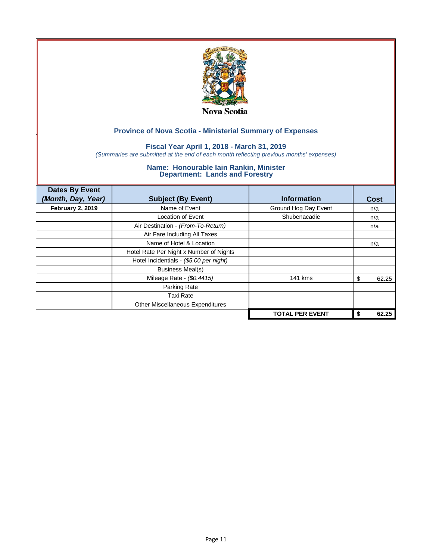

## **Fiscal Year April 1, 2018 - March 31, 2019**

*(Summaries are submitted at the end of each month reflecting previous months' expenses)*

| <b>Dates By Event</b><br>(Month, Day, Year) | <b>Subject (By Event)</b>               | <b>Information</b>     | Cost        |
|---------------------------------------------|-----------------------------------------|------------------------|-------------|
| <b>February 2, 2019</b>                     | Name of Event                           | Ground Hog Day Event   | n/a         |
|                                             | <b>Location of Event</b>                | Shubenacadie           | n/a         |
|                                             | Air Destination - (From-To-Return)      |                        | n/a         |
|                                             | Air Fare Including All Taxes            |                        |             |
|                                             | Name of Hotel & Location                |                        | n/a         |
|                                             | Hotel Rate Per Night x Number of Nights |                        |             |
|                                             | Hotel Incidentials - (\$5.00 per night) |                        |             |
|                                             | <b>Business Meal(s)</b>                 |                        |             |
|                                             | Mileage Rate - (\$0.4415)               | 141 kms                | 62.25<br>S  |
|                                             | Parking Rate                            |                        |             |
|                                             | Taxi Rate                               |                        |             |
|                                             | Other Miscellaneous Expenditures        |                        |             |
|                                             |                                         | <b>TOTAL PER EVENT</b> | 62.25<br>\$ |